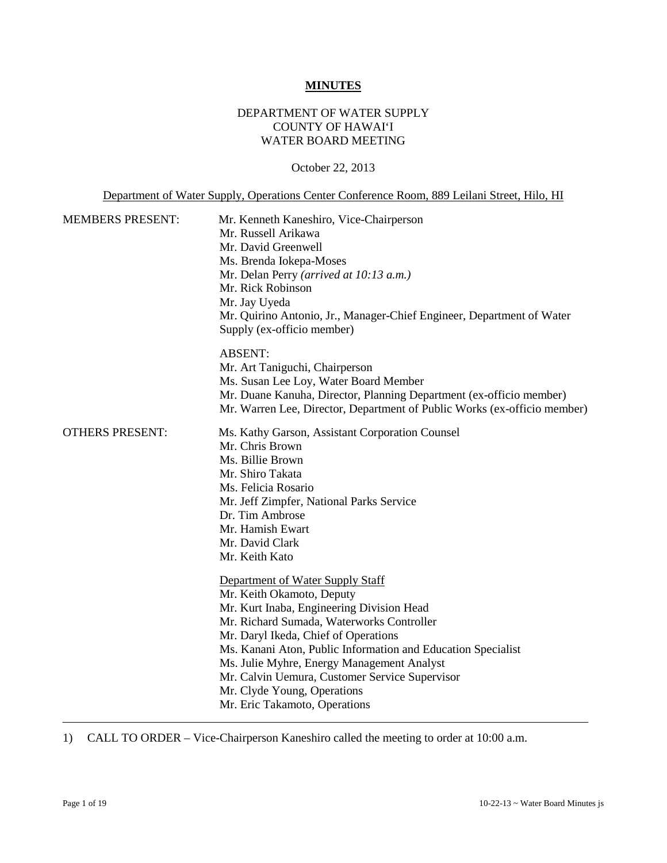#### **MINUTES**

### DEPARTMENT OF WATER SUPPLY COUNTY OF HAWAI'I WATER BOARD MEETING

October 22, 2013

Department of Water Supply, Operations Center Conference Room, 889 Leilani Street, Hilo, HI

| <b>MEMBERS PRESENT:</b> | Mr. Kenneth Kaneshiro, Vice-Chairperson<br>Mr. Russell Arikawa<br>Mr. David Greenwell<br>Ms. Brenda Iokepa-Moses<br>Mr. Delan Perry (arrived at 10:13 a.m.)<br>Mr. Rick Robinson<br>Mr. Jay Uyeda<br>Mr. Quirino Antonio, Jr., Manager-Chief Engineer, Department of Water<br>Supply (ex-officio member)                                                                                                                        |
|-------------------------|---------------------------------------------------------------------------------------------------------------------------------------------------------------------------------------------------------------------------------------------------------------------------------------------------------------------------------------------------------------------------------------------------------------------------------|
|                         | <b>ABSENT:</b><br>Mr. Art Taniguchi, Chairperson<br>Ms. Susan Lee Loy, Water Board Member<br>Mr. Duane Kanuha, Director, Planning Department (ex-officio member)<br>Mr. Warren Lee, Director, Department of Public Works (ex-officio member)                                                                                                                                                                                    |
| <b>OTHERS PRESENT:</b>  | Ms. Kathy Garson, Assistant Corporation Counsel<br>Mr. Chris Brown<br>Ms. Billie Brown<br>Mr. Shiro Takata<br>Ms. Felicia Rosario<br>Mr. Jeff Zimpfer, National Parks Service<br>Dr. Tim Ambrose<br>Mr. Hamish Ewart<br>Mr. David Clark<br>Mr. Keith Kato                                                                                                                                                                       |
|                         | Department of Water Supply Staff<br>Mr. Keith Okamoto, Deputy<br>Mr. Kurt Inaba, Engineering Division Head<br>Mr. Richard Sumada, Waterworks Controller<br>Mr. Daryl Ikeda, Chief of Operations<br>Ms. Kanani Aton, Public Information and Education Specialist<br>Ms. Julie Myhre, Energy Management Analyst<br>Mr. Calvin Uemura, Customer Service Supervisor<br>Mr. Clyde Young, Operations<br>Mr. Eric Takamoto, Operations |

1) CALL TO ORDER – Vice-Chairperson Kaneshiro called the meeting to order at 10:00 a.m.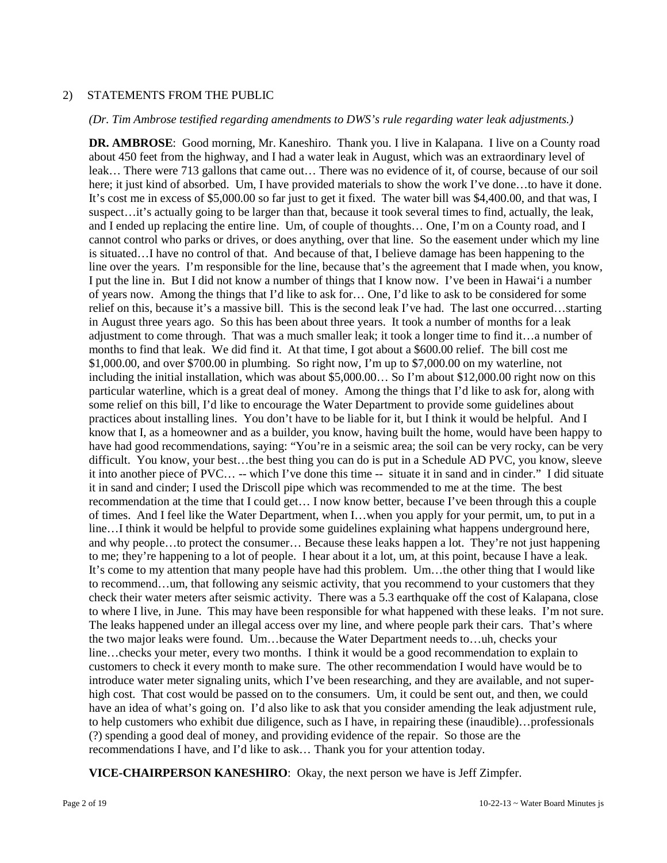### 2) STATEMENTS FROM THE PUBLIC

#### *(Dr. Tim Ambrose testified regarding amendments to DWS's rule regarding water leak adjustments.)*

**DR. AMBROSE**: Good morning, Mr. Kaneshiro. Thank you. I live in Kalapana. I live on a County road about 450 feet from the highway, and I had a water leak in August, which was an extraordinary level of leak… There were 713 gallons that came out… There was no evidence of it, of course, because of our soil here; it just kind of absorbed. Um, I have provided materials to show the work I've done…to have it done. It's cost me in excess of \$5,000.00 so far just to get it fixed. The water bill was \$4,400.00, and that was, I suspect…it's actually going to be larger than that, because it took several times to find, actually, the leak, and I ended up replacing the entire line. Um, of couple of thoughts… One, I'm on a County road, and I cannot control who parks or drives, or does anything, over that line. So the easement under which my line is situated…I have no control of that. And because of that, I believe damage has been happening to the line over the years. I'm responsible for the line, because that's the agreement that I made when, you know, I put the line in. But I did not know a number of things that I know now. I've been in Hawai'i a number of years now. Among the things that I'd like to ask for… One, I'd like to ask to be considered for some relief on this, because it's a massive bill. This is the second leak I've had. The last one occurred…starting in August three years ago. So this has been about three years. It took a number of months for a leak adjustment to come through. That was a much smaller leak; it took a longer time to find it…a number of months to find that leak. We did find it. At that time, I got about a \$600.00 relief. The bill cost me \$1,000.00, and over \$700.00 in plumbing. So right now, I'm up to \$7,000.00 on my waterline, not including the initial installation, which was about \$5,000.00… So I'm about \$12,000.00 right now on this particular waterline, which is a great deal of money. Among the things that I'd like to ask for, along with some relief on this bill, I'd like to encourage the Water Department to provide some guidelines about practices about installing lines. You don't have to be liable for it, but I think it would be helpful. And I know that I, as a homeowner and as a builder, you know, having built the home, would have been happy to have had good recommendations, saying: "You're in a seismic area; the soil can be very rocky, can be very difficult. You know, your best…the best thing you can do is put in a Schedule AD PVC, you know, sleeve it into another piece of PVC… -- which I've done this time -- situate it in sand and in cinder." I did situate it in sand and cinder; I used the Driscoll pipe which was recommended to me at the time. The best recommendation at the time that I could get… I now know better, because I've been through this a couple of times. And I feel like the Water Department, when I…when you apply for your permit, um, to put in a line…I think it would be helpful to provide some guidelines explaining what happens underground here, and why people…to protect the consumer… Because these leaks happen a lot. They're not just happening to me; they're happening to a lot of people. I hear about it a lot, um, at this point, because I have a leak. It's come to my attention that many people have had this problem. Um…the other thing that I would like to recommend…um, that following any seismic activity, that you recommend to your customers that they check their water meters after seismic activity. There was a 5.3 earthquake off the cost of Kalapana, close to where I live, in June. This may have been responsible for what happened with these leaks. I'm not sure. The leaks happened under an illegal access over my line, and where people park their cars. That's where the two major leaks were found. Um…because the Water Department needs to…uh, checks your line…checks your meter, every two months. I think it would be a good recommendation to explain to customers to check it every month to make sure. The other recommendation I would have would be to introduce water meter signaling units, which I've been researching, and they are available, and not superhigh cost. That cost would be passed on to the consumers. Um, it could be sent out, and then, we could have an idea of what's going on. I'd also like to ask that you consider amending the leak adjustment rule, to help customers who exhibit due diligence, such as I have, in repairing these (inaudible)…professionals (?) spending a good deal of money, and providing evidence of the repair. So those are the recommendations I have, and I'd like to ask… Thank you for your attention today.

**VICE-CHAIRPERSON KANESHIRO**: Okay, the next person we have is Jeff Zimpfer.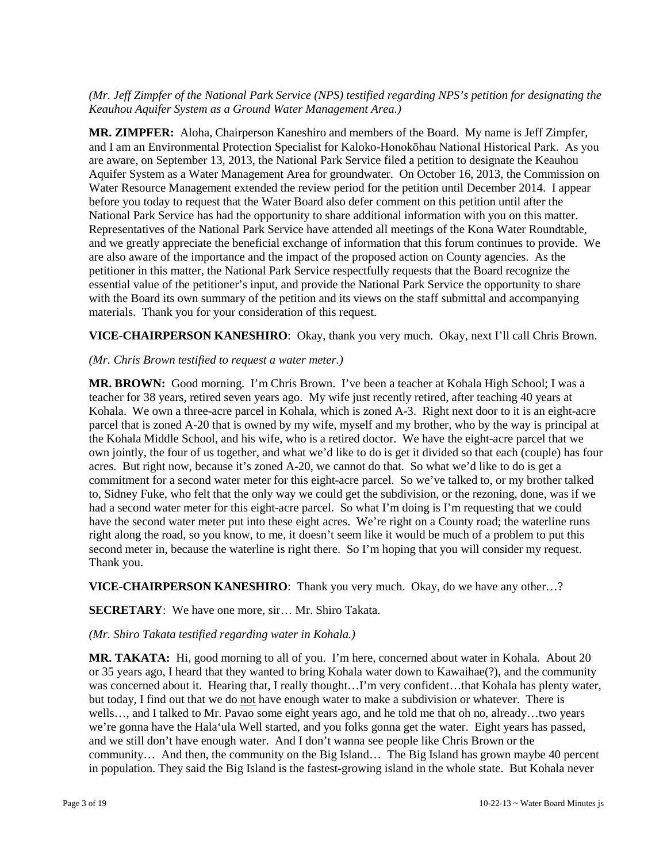### *(Mr. Jeff Zimpfer of the National Park Service (NPS) testified regarding NPS's petition for designating the Keauhou Aquifer System as a Ground Water Management Area.)*

**MR. ZIMPFER:** Aloha, Chairperson Kaneshiro and members of the Board. My name is Jeff Zimpfer, and I am an Environmental Protection Specialist for Kaloko-Honokōhau National Historical Park. As you are aware, on September 13, 2013, the National Park Service filed a petition to designate the Keauhou Aquifer System as a Water Management Area for groundwater. On October 16, 2013, the Commission on Water Resource Management extended the review period for the petition until December 2014. I appear before you today to request that the Water Board also defer comment on this petition until after the National Park Service has had the opportunity to share additional information with you on this matter. Representatives of the National Park Service have attended all meetings of the Kona Water Roundtable, and we greatly appreciate the beneficial exchange of information that this forum continues to provide. We are also aware of the importance and the impact of the proposed action on County agencies. As the petitioner in this matter, the National Park Service respectfully requests that the Board recognize the essential value of the petitioner's input, and provide the National Park Service the opportunity to share with the Board its own summary of the petition and its views on the staff submittal and accompanying materials. Thank you for your consideration of this request.

**VICE-CHAIRPERSON KANESHIRO**: Okay, thank you very much. Okay, next I'll call Chris Brown.

### *(Mr. Chris Brown testified to request a water meter.)*

**MR. BROWN:** Good morning. I'm Chris Brown. I've been a teacher at Kohala High School; I was a teacher for 38 years, retired seven years ago. My wife just recently retired, after teaching 40 years at Kohala. We own a three-acre parcel in Kohala, which is zoned A-3. Right next door to it is an eight-acre parcel that is zoned A-20 that is owned by my wife, myself and my brother, who by the way is principal at the Kohala Middle School, and his wife, who is a retired doctor. We have the eight-acre parcel that we own jointly, the four of us together, and what we'd like to do is get it divided so that each (couple) has four acres. But right now, because it's zoned A-20, we cannot do that. So what we'd like to do is get a commitment for a second water meter for this eight-acre parcel. So we've talked to, or my brother talked to, Sidney Fuke, who felt that the only way we could get the subdivision, or the rezoning, done, was if we had a second water meter for this eight-acre parcel. So what I'm doing is I'm requesting that we could have the second water meter put into these eight acres. We're right on a County road; the waterline runs right along the road, so you know, to me, it doesn't seem like it would be much of a problem to put this second meter in, because the waterline is right there. So I'm hoping that you will consider my request. Thank you.

**VICE-CHAIRPERSON KANESHIRO**: Thank you very much. Okay, do we have any other…?

## **SECRETARY**: We have one more, sir… Mr. Shiro Takata.

### *(Mr. Shiro Takata testified regarding water in Kohala.)*

**MR. TAKATA:** Hi, good morning to all of you. I'm here, concerned about water in Kohala. About 20 or 35 years ago, I heard that they wanted to bring Kohala water down to Kawaihae(?), and the community was concerned about it. Hearing that, I really thought...I'm very confident...that Kohala has plenty water, but today, I find out that we do not have enough water to make a subdivision or whatever. There is wells…, and I talked to Mr. Pavao some eight years ago, and he told me that oh no, already…two years we're gonna have the Hala'ula Well started, and you folks gonna get the water. Eight years has passed, and we still don't have enough water. And I don't wanna see people like Chris Brown or the community… And then, the community on the Big Island… The Big Island has grown maybe 40 percent in population. They said the Big Island is the fastest-growing island in the whole state. But Kohala never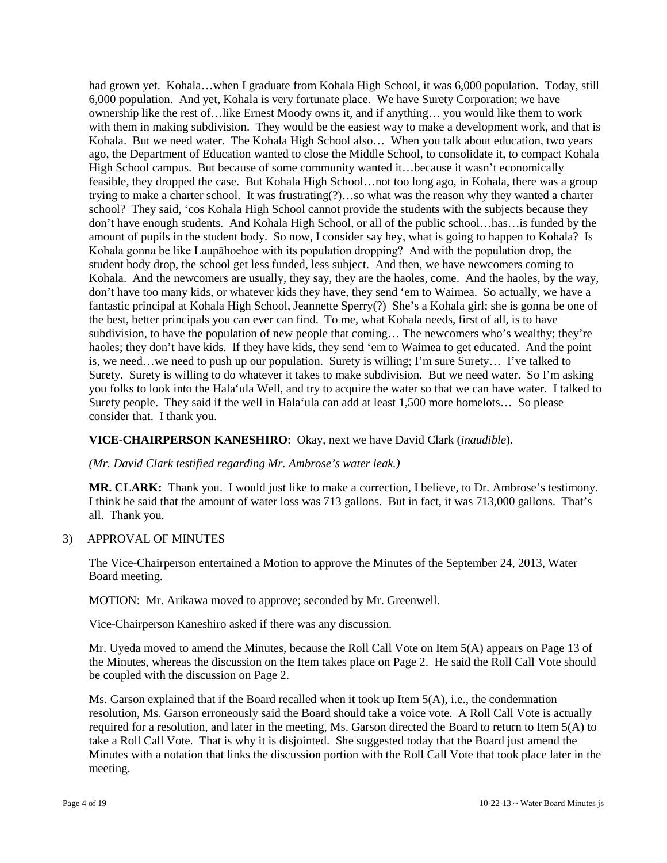had grown yet. Kohala…when I graduate from Kohala High School, it was 6,000 population. Today, still 6,000 population. And yet, Kohala is very fortunate place. We have Surety Corporation; we have ownership like the rest of…like Ernest Moody owns it, and if anything… you would like them to work with them in making subdivision. They would be the easiest way to make a development work, and that is Kohala. But we need water. The Kohala High School also… When you talk about education, two years ago, the Department of Education wanted to close the Middle School, to consolidate it, to compact Kohala High School campus. But because of some community wanted it...because it wasn't economically feasible, they dropped the case. But Kohala High School…not too long ago, in Kohala, there was a group trying to make a charter school. It was frustrating(?)…so what was the reason why they wanted a charter school? They said, 'cos Kohala High School cannot provide the students with the subjects because they don't have enough students. And Kohala High School, or all of the public school…has…is funded by the amount of pupils in the student body. So now, I consider say hey, what is going to happen to Kohala? Is Kohala gonna be like Laupāhoehoe with its population dropping? And with the population drop, the student body drop, the school get less funded, less subject. And then, we have newcomers coming to Kohala. And the newcomers are usually, they say, they are the haoles, come. And the haoles, by the way, don't have too many kids, or whatever kids they have, they send 'em to Waimea. So actually, we have a fantastic principal at Kohala High School, Jeannette Sperry(?) She's a Kohala girl; she is gonna be one of the best, better principals you can ever can find. To me, what Kohala needs, first of all, is to have subdivision, to have the population of new people that coming… The newcomers who's wealthy; they're haoles; they don't have kids. If they have kids, they send 'em to Waimea to get educated. And the point is, we need…we need to push up our population. Surety is willing; I'm sure Surety… I've talked to Surety. Surety is willing to do whatever it takes to make subdivision. But we need water. So I'm asking you folks to look into the Hala'ula Well, and try to acquire the water so that we can have water. I talked to Surety people. They said if the well in Hala'ula can add at least 1,500 more homelots… So please consider that. I thank you.

### **VICE-CHAIRPERSON KANESHIRO**: Okay, next we have David Clark (*inaudible*).

### *(Mr. David Clark testified regarding Mr. Ambrose's water leak.)*

**MR. CLARK:** Thank you. I would just like to make a correction, I believe, to Dr. Ambrose's testimony. I think he said that the amount of water loss was 713 gallons. But in fact, it was 713,000 gallons. That's all. Thank you.

### 3) APPROVAL OF MINUTES

The Vice-Chairperson entertained a Motion to approve the Minutes of the September 24, 2013, Water Board meeting.

MOTION: Mr. Arikawa moved to approve; seconded by Mr. Greenwell.

Vice-Chairperson Kaneshiro asked if there was any discussion.

Mr. Uyeda moved to amend the Minutes, because the Roll Call Vote on Item 5(A) appears on Page 13 of the Minutes, whereas the discussion on the Item takes place on Page 2. He said the Roll Call Vote should be coupled with the discussion on Page 2.

Ms. Garson explained that if the Board recalled when it took up Item  $5(A)$ , i.e., the condemnation resolution, Ms. Garson erroneously said the Board should take a voice vote. A Roll Call Vote is actually required for a resolution, and later in the meeting, Ms. Garson directed the Board to return to Item 5(A) to take a Roll Call Vote. That is why it is disjointed. She suggested today that the Board just amend the Minutes with a notation that links the discussion portion with the Roll Call Vote that took place later in the meeting.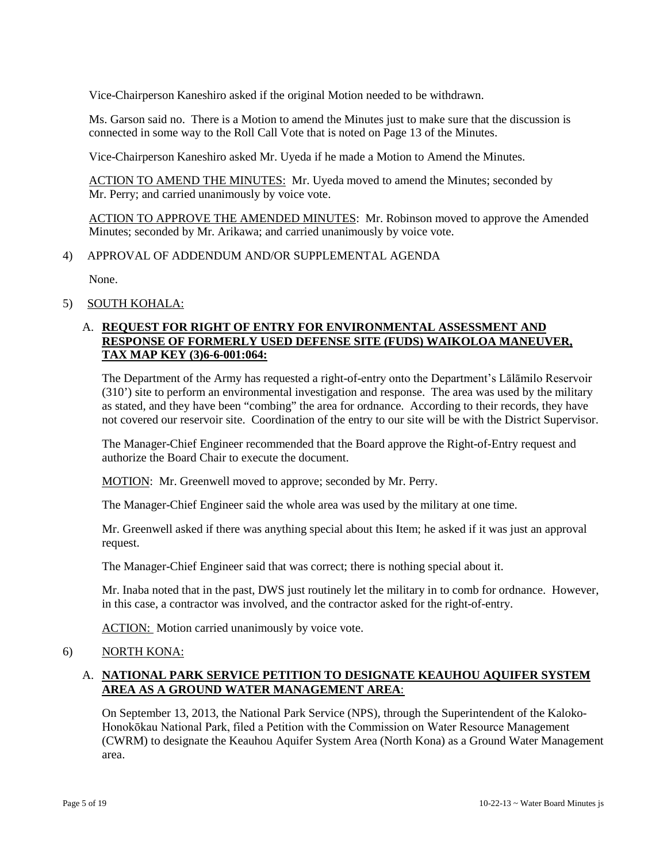Vice-Chairperson Kaneshiro asked if the original Motion needed to be withdrawn.

Ms. Garson said no. There is a Motion to amend the Minutes just to make sure that the discussion is connected in some way to the Roll Call Vote that is noted on Page 13 of the Minutes.

Vice-Chairperson Kaneshiro asked Mr. Uyeda if he made a Motion to Amend the Minutes.

ACTION TO AMEND THE MINUTES: Mr. Uyeda moved to amend the Minutes; seconded by Mr. Perry; and carried unanimously by voice vote.

ACTION TO APPROVE THE AMENDED MINUTES: Mr. Robinson moved to approve the Amended Minutes; seconded by Mr. Arikawa; and carried unanimously by voice vote.

#### 4) APPROVAL OF ADDENDUM AND/OR SUPPLEMENTAL AGENDA

None.

5) SOUTH KOHALA:

## A. **REQUEST FOR RIGHT OF ENTRY FOR ENVIRONMENTAL ASSESSMENT AND RESPONSE OF FORMERLY USED DEFENSE SITE (FUDS) WAIKOLOA MANEUVER, TAX MAP KEY (3)6-6-001:064:**

The Department of the Army has requested a right-of-entry onto the Department's Lālāmilo Reservoir (310') site to perform an environmental investigation and response. The area was used by the military as stated, and they have been "combing" the area for ordnance. According to their records, they have not covered our reservoir site. Coordination of the entry to our site will be with the District Supervisor.

The Manager-Chief Engineer recommended that the Board approve the Right-of-Entry request and authorize the Board Chair to execute the document.

MOTION: Mr. Greenwell moved to approve; seconded by Mr. Perry.

The Manager-Chief Engineer said the whole area was used by the military at one time.

Mr. Greenwell asked if there was anything special about this Item; he asked if it was just an approval request.

The Manager-Chief Engineer said that was correct; there is nothing special about it.

Mr. Inaba noted that in the past, DWS just routinely let the military in to comb for ordnance. However, in this case, a contractor was involved, and the contractor asked for the right-of-entry.

ACTION: Motion carried unanimously by voice vote.

### 6) NORTH KONA:

## A. **NATIONAL PARK SERVICE PETITION TO DESIGNATE KEAUHOU AQUIFER SYSTEM AREA AS A GROUND WATER MANAGEMENT AREA**:

On September 13, 2013, the National Park Service (NPS), through the Superintendent of the Kaloko-Honokōkau National Park, filed a Petition with the Commission on Water Resource Management (CWRM) to designate the Keauhou Aquifer System Area (North Kona) as a Ground Water Management area.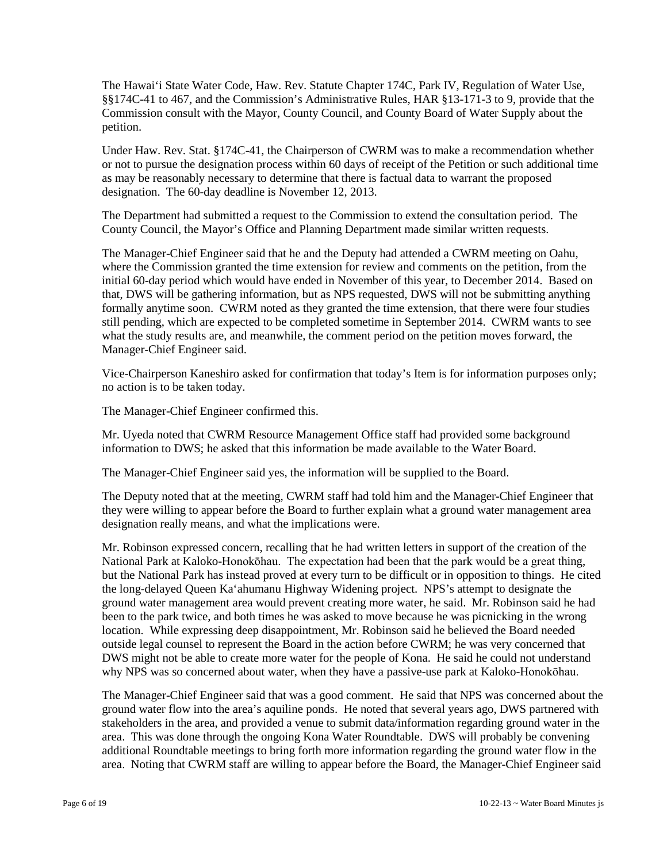The Hawai'i State Water Code, Haw. Rev. Statute Chapter 174C, Park IV, Regulation of Water Use, §§174C-41 to 467, and the Commission's Administrative Rules, HAR §13-171-3 to 9, provide that the Commission consult with the Mayor, County Council, and County Board of Water Supply about the petition.

Under Haw. Rev. Stat. §174C-41, the Chairperson of CWRM was to make a recommendation whether or not to pursue the designation process within 60 days of receipt of the Petition or such additional time as may be reasonably necessary to determine that there is factual data to warrant the proposed designation. The 60-day deadline is November 12, 2013.

The Department had submitted a request to the Commission to extend the consultation period. The County Council, the Mayor's Office and Planning Department made similar written requests.

The Manager-Chief Engineer said that he and the Deputy had attended a CWRM meeting on Oahu, where the Commission granted the time extension for review and comments on the petition, from the initial 60-day period which would have ended in November of this year, to December 2014. Based on that, DWS will be gathering information, but as NPS requested, DWS will not be submitting anything formally anytime soon. CWRM noted as they granted the time extension, that there were four studies still pending, which are expected to be completed sometime in September 2014. CWRM wants to see what the study results are, and meanwhile, the comment period on the petition moves forward, the Manager-Chief Engineer said.

Vice-Chairperson Kaneshiro asked for confirmation that today's Item is for information purposes only; no action is to be taken today.

The Manager-Chief Engineer confirmed this.

Mr. Uyeda noted that CWRM Resource Management Office staff had provided some background information to DWS; he asked that this information be made available to the Water Board.

The Manager-Chief Engineer said yes, the information will be supplied to the Board.

The Deputy noted that at the meeting, CWRM staff had told him and the Manager-Chief Engineer that they were willing to appear before the Board to further explain what a ground water management area designation really means, and what the implications were.

Mr. Robinson expressed concern, recalling that he had written letters in support of the creation of the National Park at Kaloko-Honokōhau. The expectation had been that the park would be a great thing, but the National Park has instead proved at every turn to be difficult or in opposition to things. He cited the long-delayed Queen Ka'ahumanu Highway Widening project. NPS's attempt to designate the ground water management area would prevent creating more water, he said. Mr. Robinson said he had been to the park twice, and both times he was asked to move because he was picnicking in the wrong location. While expressing deep disappointment, Mr. Robinson said he believed the Board needed outside legal counsel to represent the Board in the action before CWRM; he was very concerned that DWS might not be able to create more water for the people of Kona. He said he could not understand why NPS was so concerned about water, when they have a passive-use park at Kaloko-Honokōhau.

The Manager-Chief Engineer said that was a good comment. He said that NPS was concerned about the ground water flow into the area's aquiline ponds. He noted that several years ago, DWS partnered with stakeholders in the area, and provided a venue to submit data/information regarding ground water in the area. This was done through the ongoing Kona Water Roundtable. DWS will probably be convening additional Roundtable meetings to bring forth more information regarding the ground water flow in the area. Noting that CWRM staff are willing to appear before the Board, the Manager-Chief Engineer said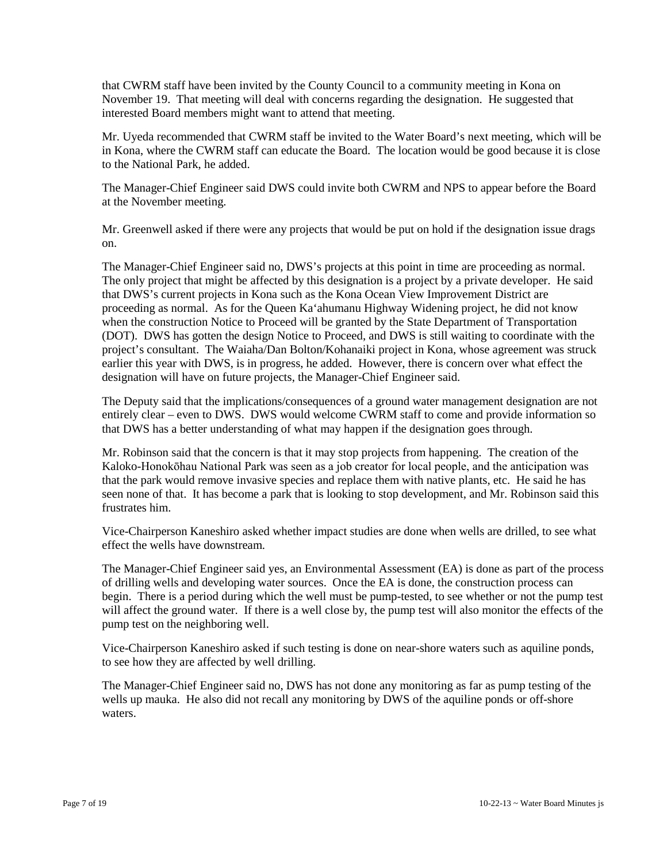that CWRM staff have been invited by the County Council to a community meeting in Kona on November 19. That meeting will deal with concerns regarding the designation. He suggested that interested Board members might want to attend that meeting.

Mr. Uyeda recommended that CWRM staff be invited to the Water Board's next meeting, which will be in Kona, where the CWRM staff can educate the Board. The location would be good because it is close to the National Park, he added.

The Manager-Chief Engineer said DWS could invite both CWRM and NPS to appear before the Board at the November meeting.

Mr. Greenwell asked if there were any projects that would be put on hold if the designation issue drags on.

The Manager-Chief Engineer said no, DWS's projects at this point in time are proceeding as normal. The only project that might be affected by this designation is a project by a private developer. He said that DWS's current projects in Kona such as the Kona Ocean View Improvement District are proceeding as normal. As for the Queen Ka'ahumanu Highway Widening project, he did not know when the construction Notice to Proceed will be granted by the State Department of Transportation (DOT). DWS has gotten the design Notice to Proceed, and DWS is still waiting to coordinate with the project's consultant. The Waiaha/Dan Bolton/Kohanaiki project in Kona, whose agreement was struck earlier this year with DWS, is in progress, he added. However, there is concern over what effect the designation will have on future projects, the Manager-Chief Engineer said.

The Deputy said that the implications/consequences of a ground water management designation are not entirely clear – even to DWS. DWS would welcome CWRM staff to come and provide information so that DWS has a better understanding of what may happen if the designation goes through.

Mr. Robinson said that the concern is that it may stop projects from happening. The creation of the Kaloko-Honokōhau National Park was seen as a job creator for local people, and the anticipation was that the park would remove invasive species and replace them with native plants, etc. He said he has seen none of that. It has become a park that is looking to stop development, and Mr. Robinson said this frustrates him.

Vice-Chairperson Kaneshiro asked whether impact studies are done when wells are drilled, to see what effect the wells have downstream.

The Manager-Chief Engineer said yes, an Environmental Assessment (EA) is done as part of the process of drilling wells and developing water sources. Once the EA is done, the construction process can begin. There is a period during which the well must be pump-tested, to see whether or not the pump test will affect the ground water. If there is a well close by, the pump test will also monitor the effects of the pump test on the neighboring well.

Vice-Chairperson Kaneshiro asked if such testing is done on near-shore waters such as aquiline ponds, to see how they are affected by well drilling.

The Manager-Chief Engineer said no, DWS has not done any monitoring as far as pump testing of the wells up mauka. He also did not recall any monitoring by DWS of the aquiline ponds or off-shore waters.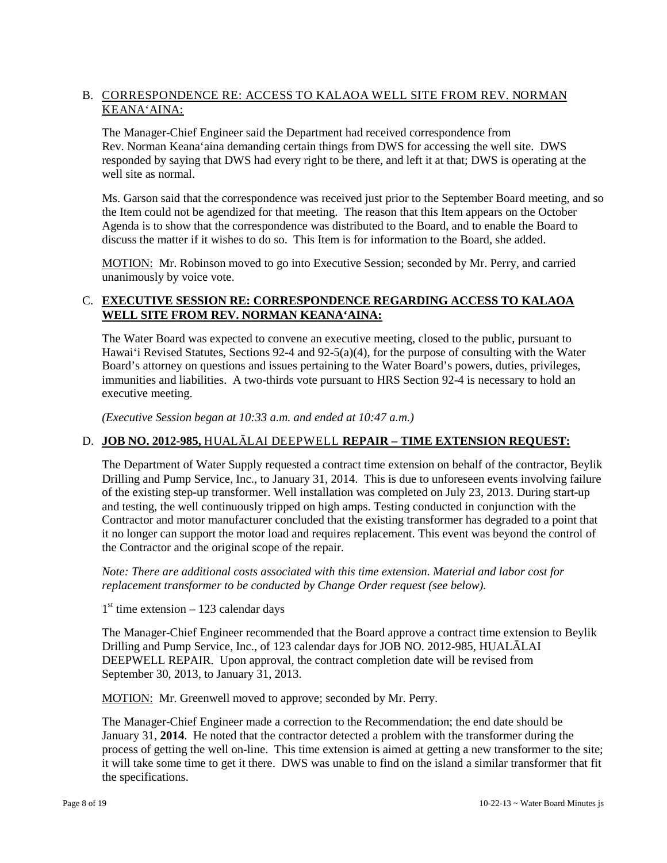# B. CORRESPONDENCE RE: ACCESS TO KALAOA WELL SITE FROM REV. NORMAN KEANA'AINA:

The Manager-Chief Engineer said the Department had received correspondence from Rev. Norman Keana'aina demanding certain things from DWS for accessing the well site. DWS responded by saying that DWS had every right to be there, and left it at that; DWS is operating at the well site as normal.

Ms. Garson said that the correspondence was received just prior to the September Board meeting, and so the Item could not be agendized for that meeting. The reason that this Item appears on the October Agenda is to show that the correspondence was distributed to the Board, and to enable the Board to discuss the matter if it wishes to do so. This Item is for information to the Board, she added.

MOTION: Mr. Robinson moved to go into Executive Session; seconded by Mr. Perry, and carried unanimously by voice vote.

# C. **EXECUTIVE SESSION RE: CORRESPONDENCE REGARDING ACCESS TO KALAOA WELL SITE FROM REV. NORMAN KEANA'AINA:**

The Water Board was expected to convene an executive meeting, closed to the public, pursuant to Hawai'i Revised Statutes, Sections 92-4 and 92-5(a)(4), for the purpose of consulting with the Water Board's attorney on questions and issues pertaining to the Water Board's powers, duties, privileges, immunities and liabilities. A two-thirds vote pursuant to HRS Section 92-4 is necessary to hold an executive meeting.

*(Executive Session began at 10:33 a.m. and ended at 10:47 a.m.)*

# D. **JOB NO. 2012-985,** HUALĀLAI DEEPWELL **REPAIR – TIME EXTENSION REQUEST:**

The Department of Water Supply requested a contract time extension on behalf of the contractor, Beylik Drilling and Pump Service, Inc., to January 31, 2014. This is due to unforeseen events involving failure of the existing step-up transformer. Well installation was completed on July 23, 2013. During start-up and testing, the well continuously tripped on high amps. Testing conducted in conjunction with the Contractor and motor manufacturer concluded that the existing transformer has degraded to a point that it no longer can support the motor load and requires replacement. This event was beyond the control of the Contractor and the original scope of the repair.

*Note: There are additional costs associated with this time extension. Material and labor cost for replacement transformer to be conducted by Change Order request (see below).*

 $1<sup>st</sup>$  time extension – 123 calendar days

The Manager-Chief Engineer recommended that the Board approve a contract time extension to Beylik Drilling and Pump Service, Inc., of 123 calendar days for JOB NO. 2012-985, HUALĀLAI DEEPWELL REPAIR. Upon approval, the contract completion date will be revised from September 30, 2013, to January 31, 2013.

MOTION: Mr. Greenwell moved to approve; seconded by Mr. Perry.

The Manager-Chief Engineer made a correction to the Recommendation; the end date should be January 31, **2014**. He noted that the contractor detected a problem with the transformer during the process of getting the well on-line. This time extension is aimed at getting a new transformer to the site; it will take some time to get it there. DWS was unable to find on the island a similar transformer that fit the specifications.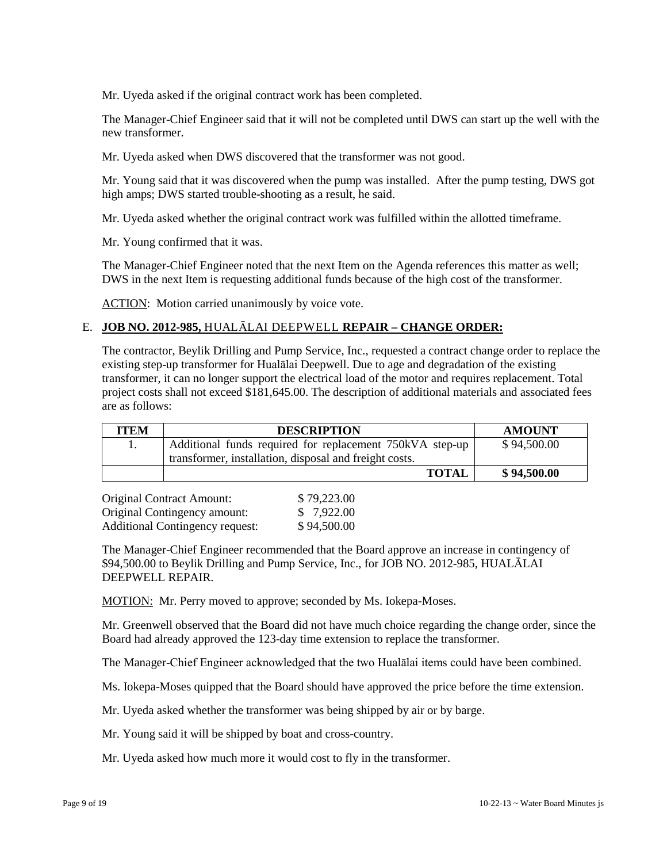Mr. Uyeda asked if the original contract work has been completed.

The Manager-Chief Engineer said that it will not be completed until DWS can start up the well with the new transformer.

Mr. Uyeda asked when DWS discovered that the transformer was not good.

Mr. Young said that it was discovered when the pump was installed. After the pump testing, DWS got high amps; DWS started trouble-shooting as a result, he said.

Mr. Uyeda asked whether the original contract work was fulfilled within the allotted timeframe.

Mr. Young confirmed that it was.

The Manager-Chief Engineer noted that the next Item on the Agenda references this matter as well; DWS in the next Item is requesting additional funds because of the high cost of the transformer.

ACTION: Motion carried unanimously by voice vote.

### E. **JOB NO. 2012-985,** HUALĀLAI DEEPWELL **REPAIR – CHANGE ORDER:**

The contractor, Beylik Drilling and Pump Service, Inc., requested a contract change order to replace the existing step-up transformer for Hualālai Deepwell. Due to age and degradation of the existing transformer, it can no longer support the electrical load of the motor and requires replacement. Total project costs shall not exceed \$181,645.00. The description of additional materials and associated fees are as follows:

| <b>ITEM</b> | <b>DESCRIPTION</b>                                       | <b>AMOUNT</b> |
|-------------|----------------------------------------------------------|---------------|
|             | Additional funds required for replacement 750kVA step-up | \$94,500.00   |
|             | transformer, installation, disposal and freight costs.   |               |
|             | <b>TOTAL</b>                                             | \$94,500.00   |

Original Contract Amount: \$ 79,223.00 Original Contingency amount: \$ 7,922.00 Additional Contingency request: \$94,500.00

The Manager-Chief Engineer recommended that the Board approve an increase in contingency of \$94,500.00 to Beylik Drilling and Pump Service, Inc., for JOB NO. 2012-985, HUALĀLAI DEEPWELL REPAIR.

MOTION: Mr. Perry moved to approve; seconded by Ms. Iokepa-Moses.

Mr. Greenwell observed that the Board did not have much choice regarding the change order, since the Board had already approved the 123-day time extension to replace the transformer.

The Manager-Chief Engineer acknowledged that the two Hualālai items could have been combined.

Ms. Iokepa-Moses quipped that the Board should have approved the price before the time extension.

Mr. Uyeda asked whether the transformer was being shipped by air or by barge.

Mr. Young said it will be shipped by boat and cross-country.

Mr. Uyeda asked how much more it would cost to fly in the transformer.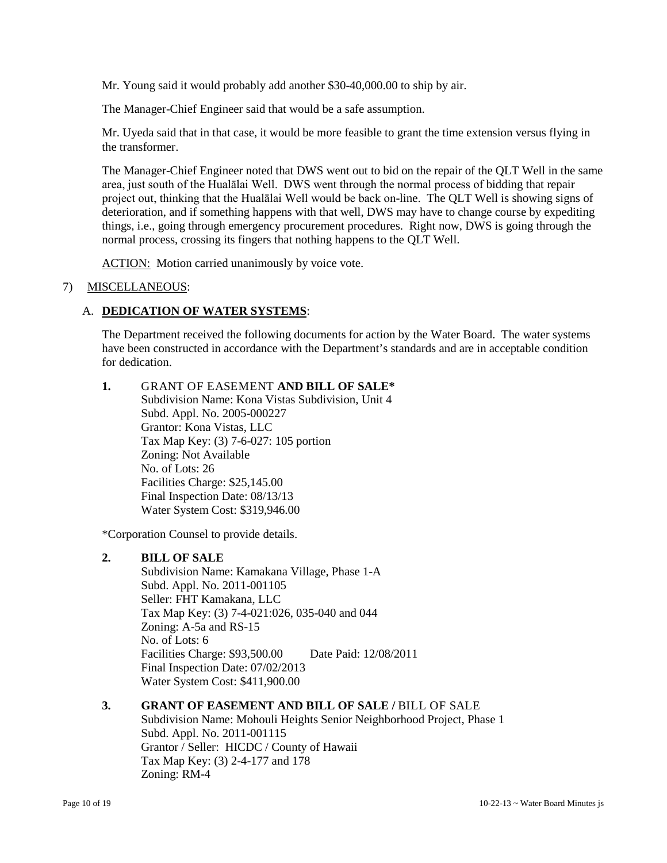Mr. Young said it would probably add another \$30-40,000.00 to ship by air.

The Manager-Chief Engineer said that would be a safe assumption.

Mr. Uyeda said that in that case, it would be more feasible to grant the time extension versus flying in the transformer.

The Manager-Chief Engineer noted that DWS went out to bid on the repair of the QLT Well in the same area, just south of the Hualālai Well. DWS went through the normal process of bidding that repair project out, thinking that the Hualālai Well would be back on-line. The QLT Well is showing signs of deterioration, and if something happens with that well, DWS may have to change course by expediting things, i.e., going through emergency procurement procedures. Right now, DWS is going through the normal process, crossing its fingers that nothing happens to the QLT Well.

ACTION: Motion carried unanimously by voice vote.

### 7) MISCELLANEOUS:

### A. **DEDICATION OF WATER SYSTEMS**:

The Department received the following documents for action by the Water Board. The water systems have been constructed in accordance with the Department's standards and are in acceptable condition for dedication.

**1.** GRANT OF EASEMENT **AND BILL OF SALE\*** Subdivision Name: Kona Vistas Subdivision, Unit 4 Subd. Appl. No. 2005-000227 Grantor: Kona Vistas, LLC Tax Map Key: (3) 7-6-027: 105 portion Zoning: Not Available No. of Lots: 26 Facilities Charge: \$25,145.00 Final Inspection Date: 08/13/13 Water System Cost: \$319,946.00

\*Corporation Counsel to provide details.

### **2. BILL OF SALE**

Subdivision Name: Kamakana Village, Phase 1-A Subd. Appl. No. 2011-001105 Seller: FHT Kamakana, LLC Tax Map Key: (3) 7-4-021:026, 035-040 and 044 Zoning: A-5a and RS-15 No. of Lots: 6 Facilities Charge: \$93,500.00 Date Paid: 12/08/2011 Final Inspection Date: 07/02/2013 Water System Cost: \$411,900.00

### **3. GRANT OF EASEMENT AND BILL OF SALE /** BILL OF SALE

Subdivision Name: Mohouli Heights Senior Neighborhood Project, Phase 1 Subd. Appl. No. 2011-001115 Grantor / Seller: HICDC / County of Hawaii Tax Map Key: (3) 2-4-177 and 178 Zoning: RM-4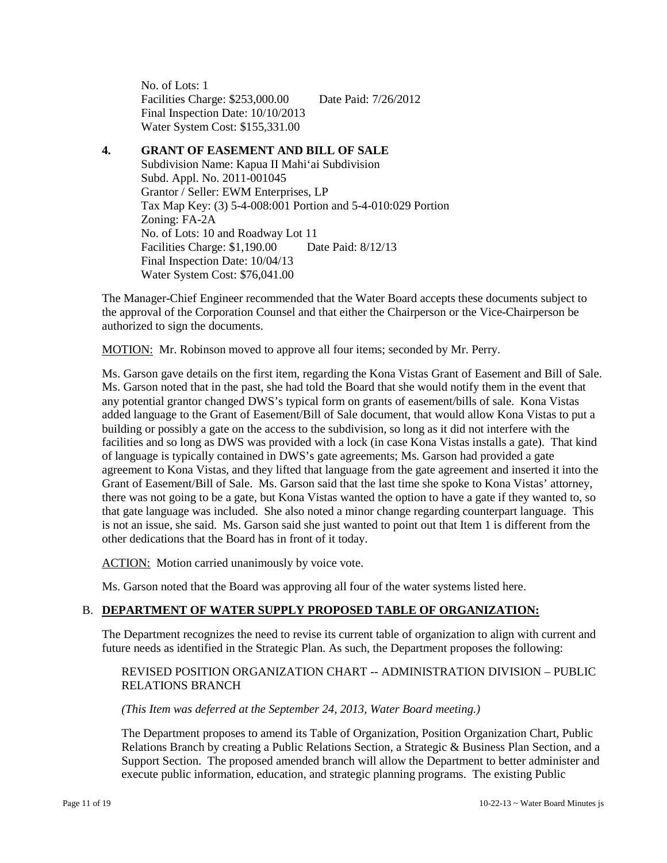No. of Lots: 1 Facilities Charge: \$253,000.00 Date Paid: 7/26/2012 Final Inspection Date: 10/10/2013 Water System Cost: \$155,331.00

### **4. GRANT OF EASEMENT AND BILL OF SALE**

Subdivision Name: Kapua II Mahi'ai Subdivision Subd. Appl. No. 2011-001045 Grantor / Seller: EWM Enterprises, LP Tax Map Key: (3) 5-4-008:001 Portion and 5-4-010:029 Portion Zoning: FA-2A No. of Lots: 10 and Roadway Lot 11 Facilities Charge: \$1,190.00 Date Paid: 8/12/13 Final Inspection Date: 10/04/13 Water System Cost: \$76,041.00

The Manager-Chief Engineer recommended that the Water Board accepts these documents subject to the approval of the Corporation Counsel and that either the Chairperson or the Vice-Chairperson be authorized to sign the documents.

MOTION: Mr. Robinson moved to approve all four items; seconded by Mr. Perry.

Ms. Garson gave details on the first item, regarding the Kona Vistas Grant of Easement and Bill of Sale. Ms. Garson noted that in the past, she had told the Board that she would notify them in the event that any potential grantor changed DWS's typical form on grants of easement/bills of sale. Kona Vistas added language to the Grant of Easement/Bill of Sale document, that would allow Kona Vistas to put a building or possibly a gate on the access to the subdivision, so long as it did not interfere with the facilities and so long as DWS was provided with a lock (in case Kona Vistas installs a gate). That kind of language is typically contained in DWS's gate agreements; Ms. Garson had provided a gate agreement to Kona Vistas, and they lifted that language from the gate agreement and inserted it into the Grant of Easement/Bill of Sale. Ms. Garson said that the last time she spoke to Kona Vistas' attorney, there was not going to be a gate, but Kona Vistas wanted the option to have a gate if they wanted to, so that gate language was included. She also noted a minor change regarding counterpart language. This is not an issue, she said. Ms. Garson said she just wanted to point out that Item 1 is different from the other dedications that the Board has in front of it today.

ACTION: Motion carried unanimously by voice vote.

Ms. Garson noted that the Board was approving all four of the water systems listed here.

### B. **DEPARTMENT OF WATER SUPPLY PROPOSED TABLE OF ORGANIZATION:**

The Department recognizes the need to revise its current table of organization to align with current and future needs as identified in the Strategic Plan. As such, the Department proposes the following:

### REVISED POSITION ORGANIZATION CHART -- ADMINISTRATION DIVISION – PUBLIC RELATIONS BRANCH

#### *(This Item was deferred at the September 24, 2013, Water Board meeting.)*

The Department proposes to amend its Table of Organization, Position Organization Chart, Public Relations Branch by creating a Public Relations Section, a Strategic & Business Plan Section, and a Support Section. The proposed amended branch will allow the Department to better administer and execute public information, education, and strategic planning programs. The existing Public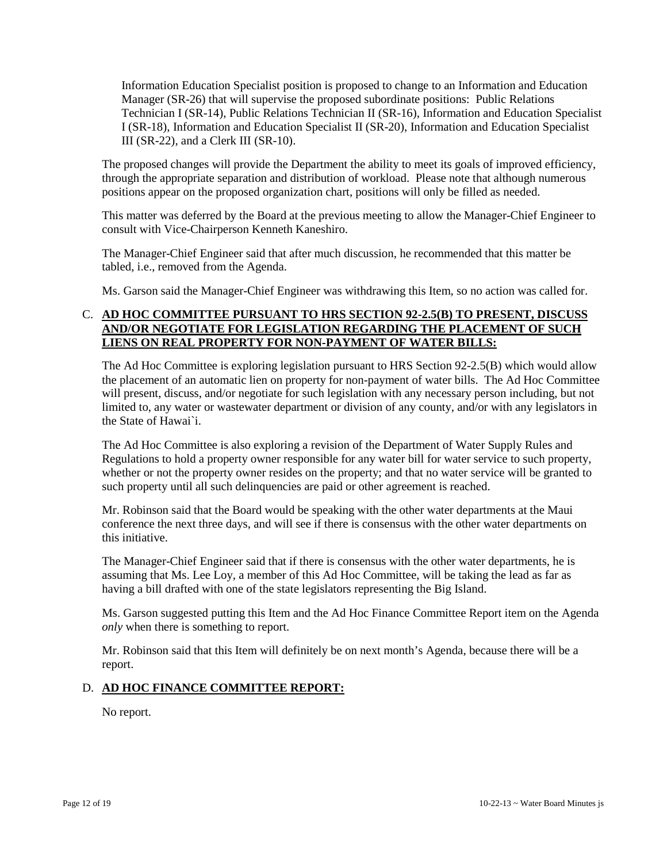Information Education Specialist position is proposed to change to an Information and Education Manager (SR-26) that will supervise the proposed subordinate positions: Public Relations Technician I (SR-14), Public Relations Technician II (SR-16), Information and Education Specialist I (SR-18), Information and Education Specialist II (SR-20), Information and Education Specialist III (SR-22), and a Clerk III (SR-10).

The proposed changes will provide the Department the ability to meet its goals of improved efficiency, through the appropriate separation and distribution of workload. Please note that although numerous positions appear on the proposed organization chart, positions will only be filled as needed.

This matter was deferred by the Board at the previous meeting to allow the Manager-Chief Engineer to consult with Vice-Chairperson Kenneth Kaneshiro.

The Manager-Chief Engineer said that after much discussion, he recommended that this matter be tabled, i.e., removed from the Agenda.

Ms. Garson said the Manager-Chief Engineer was withdrawing this Item, so no action was called for.

# C. **AD HOC COMMITTEE PURSUANT TO HRS SECTION 92-2.5(B) TO PRESENT, DISCUSS AND/OR NEGOTIATE FOR LEGISLATION REGARDING THE PLACEMENT OF SUCH LIENS ON REAL PROPERTY FOR NON-PAYMENT OF WATER BILLS:**

The Ad Hoc Committee is exploring legislation pursuant to HRS Section 92-2.5(B) which would allow the placement of an automatic lien on property for non-payment of water bills. The Ad Hoc Committee will present, discuss, and/or negotiate for such legislation with any necessary person including, but not limited to, any water or wastewater department or division of any county, and/or with any legislators in the State of Hawai`i.

The Ad Hoc Committee is also exploring a revision of the Department of Water Supply Rules and Regulations to hold a property owner responsible for any water bill for water service to such property, whether or not the property owner resides on the property; and that no water service will be granted to such property until all such delinquencies are paid or other agreement is reached.

Mr. Robinson said that the Board would be speaking with the other water departments at the Maui conference the next three days, and will see if there is consensus with the other water departments on this initiative.

The Manager-Chief Engineer said that if there is consensus with the other water departments, he is assuming that Ms. Lee Loy, a member of this Ad Hoc Committee, will be taking the lead as far as having a bill drafted with one of the state legislators representing the Big Island.

Ms. Garson suggested putting this Item and the Ad Hoc Finance Committee Report item on the Agenda *only* when there is something to report.

Mr. Robinson said that this Item will definitely be on next month's Agenda, because there will be a report.

### D. **AD HOC FINANCE COMMITTEE REPORT:**

No report.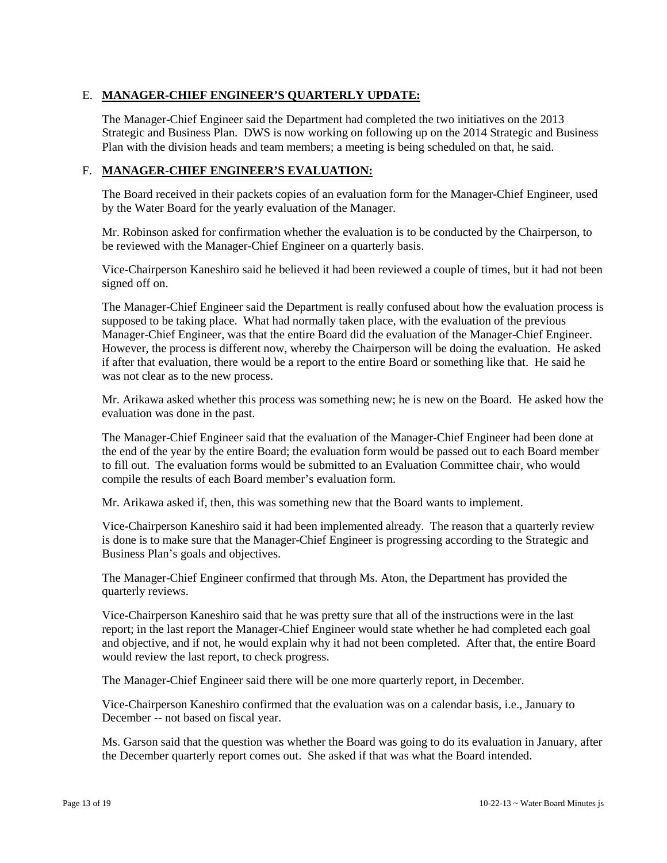# E. **MANAGER-CHIEF ENGINEER'S QUARTERLY UPDATE:**

The Manager-Chief Engineer said the Department had completed the two initiatives on the 2013 Strategic and Business Plan. DWS is now working on following up on the 2014 Strategic and Business Plan with the division heads and team members; a meeting is being scheduled on that, he said.

## F. **MANAGER-CHIEF ENGINEER'S EVALUATION:**

The Board received in their packets copies of an evaluation form for the Manager-Chief Engineer, used by the Water Board for the yearly evaluation of the Manager.

Mr. Robinson asked for confirmation whether the evaluation is to be conducted by the Chairperson, to be reviewed with the Manager-Chief Engineer on a quarterly basis.

Vice-Chairperson Kaneshiro said he believed it had been reviewed a couple of times, but it had not been signed off on.

The Manager-Chief Engineer said the Department is really confused about how the evaluation process is supposed to be taking place. What had normally taken place, with the evaluation of the previous Manager-Chief Engineer, was that the entire Board did the evaluation of the Manager-Chief Engineer. However, the process is different now, whereby the Chairperson will be doing the evaluation. He asked if after that evaluation, there would be a report to the entire Board or something like that. He said he was not clear as to the new process.

Mr. Arikawa asked whether this process was something new; he is new on the Board. He asked how the evaluation was done in the past.

The Manager-Chief Engineer said that the evaluation of the Manager-Chief Engineer had been done at the end of the year by the entire Board; the evaluation form would be passed out to each Board member to fill out. The evaluation forms would be submitted to an Evaluation Committee chair, who would compile the results of each Board member's evaluation form.

Mr. Arikawa asked if, then, this was something new that the Board wants to implement.

Vice-Chairperson Kaneshiro said it had been implemented already. The reason that a quarterly review is done is to make sure that the Manager-Chief Engineer is progressing according to the Strategic and Business Plan's goals and objectives.

The Manager-Chief Engineer confirmed that through Ms. Aton, the Department has provided the quarterly reviews.

Vice-Chairperson Kaneshiro said that he was pretty sure that all of the instructions were in the last report; in the last report the Manager-Chief Engineer would state whether he had completed each goal and objective, and if not, he would explain why it had not been completed. After that, the entire Board would review the last report, to check progress.

The Manager-Chief Engineer said there will be one more quarterly report, in December.

Vice-Chairperson Kaneshiro confirmed that the evaluation was on a calendar basis, i.e., January to December -- not based on fiscal year.

Ms. Garson said that the question was whether the Board was going to do its evaluation in January, after the December quarterly report comes out. She asked if that was what the Board intended.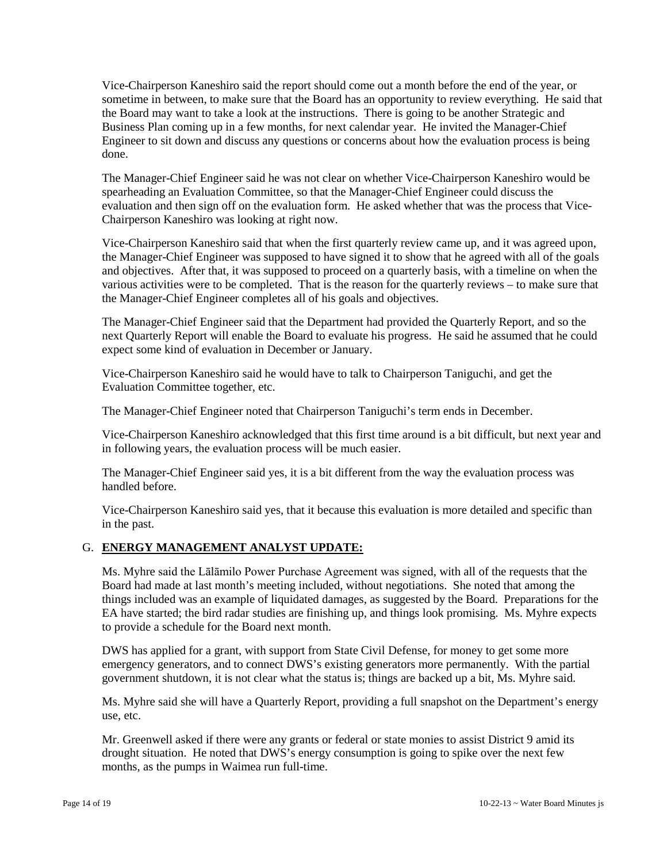Vice-Chairperson Kaneshiro said the report should come out a month before the end of the year, or sometime in between, to make sure that the Board has an opportunity to review everything. He said that the Board may want to take a look at the instructions. There is going to be another Strategic and Business Plan coming up in a few months, for next calendar year. He invited the Manager-Chief Engineer to sit down and discuss any questions or concerns about how the evaluation process is being done.

The Manager-Chief Engineer said he was not clear on whether Vice-Chairperson Kaneshiro would be spearheading an Evaluation Committee, so that the Manager-Chief Engineer could discuss the evaluation and then sign off on the evaluation form. He asked whether that was the process that Vice-Chairperson Kaneshiro was looking at right now.

Vice-Chairperson Kaneshiro said that when the first quarterly review came up, and it was agreed upon, the Manager-Chief Engineer was supposed to have signed it to show that he agreed with all of the goals and objectives. After that, it was supposed to proceed on a quarterly basis, with a timeline on when the various activities were to be completed. That is the reason for the quarterly reviews – to make sure that the Manager-Chief Engineer completes all of his goals and objectives.

The Manager-Chief Engineer said that the Department had provided the Quarterly Report, and so the next Quarterly Report will enable the Board to evaluate his progress. He said he assumed that he could expect some kind of evaluation in December or January.

Vice-Chairperson Kaneshiro said he would have to talk to Chairperson Taniguchi, and get the Evaluation Committee together, etc.

The Manager-Chief Engineer noted that Chairperson Taniguchi's term ends in December.

Vice-Chairperson Kaneshiro acknowledged that this first time around is a bit difficult, but next year and in following years, the evaluation process will be much easier.

The Manager-Chief Engineer said yes, it is a bit different from the way the evaluation process was handled before.

Vice-Chairperson Kaneshiro said yes, that it because this evaluation is more detailed and specific than in the past.

# G. **ENERGY MANAGEMENT ANALYST UPDATE:**

Ms. Myhre said the Lālāmilo Power Purchase Agreement was signed, with all of the requests that the Board had made at last month's meeting included, without negotiations. She noted that among the things included was an example of liquidated damages, as suggested by the Board. Preparations for the EA have started; the bird radar studies are finishing up, and things look promising. Ms. Myhre expects to provide a schedule for the Board next month.

DWS has applied for a grant, with support from State Civil Defense, for money to get some more emergency generators, and to connect DWS's existing generators more permanently. With the partial government shutdown, it is not clear what the status is; things are backed up a bit, Ms. Myhre said.

Ms. Myhre said she will have a Quarterly Report, providing a full snapshot on the Department's energy use, etc.

Mr. Greenwell asked if there were any grants or federal or state monies to assist District 9 amid its drought situation. He noted that DWS's energy consumption is going to spike over the next few months, as the pumps in Waimea run full-time.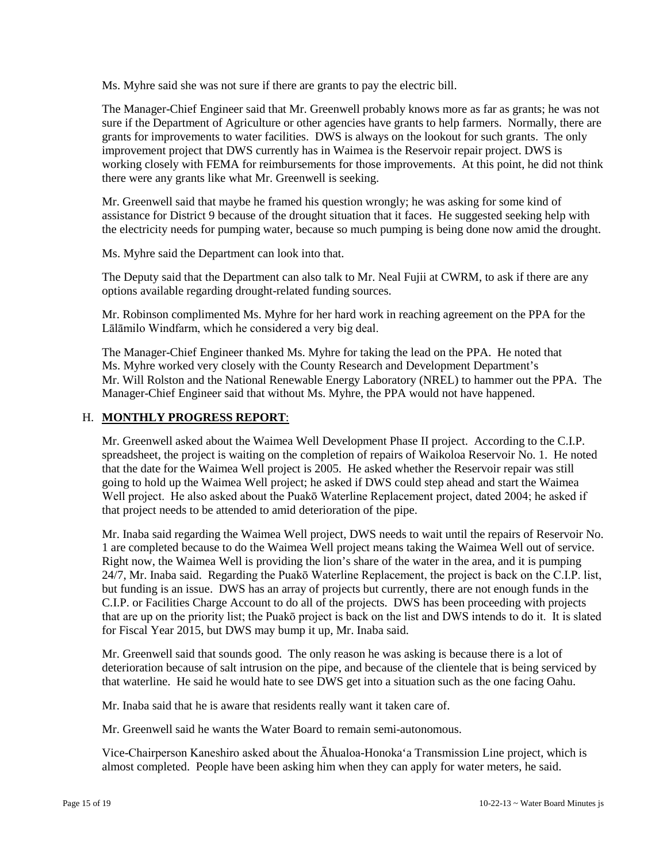Ms. Myhre said she was not sure if there are grants to pay the electric bill.

The Manager-Chief Engineer said that Mr. Greenwell probably knows more as far as grants; he was not sure if the Department of Agriculture or other agencies have grants to help farmers. Normally, there are grants for improvements to water facilities. DWS is always on the lookout for such grants. The only improvement project that DWS currently has in Waimea is the Reservoir repair project. DWS is working closely with FEMA for reimbursements for those improvements. At this point, he did not think there were any grants like what Mr. Greenwell is seeking.

Mr. Greenwell said that maybe he framed his question wrongly; he was asking for some kind of assistance for District 9 because of the drought situation that it faces. He suggested seeking help with the electricity needs for pumping water, because so much pumping is being done now amid the drought.

Ms. Myhre said the Department can look into that.

The Deputy said that the Department can also talk to Mr. Neal Fujii at CWRM, to ask if there are any options available regarding drought-related funding sources.

Mr. Robinson complimented Ms. Myhre for her hard work in reaching agreement on the PPA for the Lālāmilo Windfarm, which he considered a very big deal.

The Manager-Chief Engineer thanked Ms. Myhre for taking the lead on the PPA. He noted that Ms. Myhre worked very closely with the County Research and Development Department's Mr. Will Rolston and the National Renewable Energy Laboratory (NREL) to hammer out the PPA. The Manager-Chief Engineer said that without Ms. Myhre, the PPA would not have happened.

### H. **MONTHLY PROGRESS REPORT**:

Mr. Greenwell asked about the Waimea Well Development Phase II project. According to the C.I.P. spreadsheet, the project is waiting on the completion of repairs of Waikoloa Reservoir No. 1. He noted that the date for the Waimea Well project is 2005. He asked whether the Reservoir repair was still going to hold up the Waimea Well project; he asked if DWS could step ahead and start the Waimea Well project. He also asked about the Puakō Waterline Replacement project, dated 2004; he asked if that project needs to be attended to amid deterioration of the pipe.

Mr. Inaba said regarding the Waimea Well project, DWS needs to wait until the repairs of Reservoir No. 1 are completed because to do the Waimea Well project means taking the Waimea Well out of service. Right now, the Waimea Well is providing the lion's share of the water in the area, and it is pumping 24/7, Mr. Inaba said. Regarding the Puakō Waterline Replacement, the project is back on the C.I.P. list, but funding is an issue. DWS has an array of projects but currently, there are not enough funds in the C.I.P. or Facilities Charge Account to do all of the projects. DWS has been proceeding with projects that are up on the priority list; the Puakō project is back on the list and DWS intends to do it. It is slated for Fiscal Year 2015, but DWS may bump it up, Mr. Inaba said.

Mr. Greenwell said that sounds good. The only reason he was asking is because there is a lot of deterioration because of salt intrusion on the pipe, and because of the clientele that is being serviced by that waterline. He said he would hate to see DWS get into a situation such as the one facing Oahu.

Mr. Inaba said that he is aware that residents really want it taken care of.

Mr. Greenwell said he wants the Water Board to remain semi-autonomous.

Vice-Chairperson Kaneshiro asked about the Āhualoa-Honoka'a Transmission Line project, which is almost completed. People have been asking him when they can apply for water meters, he said.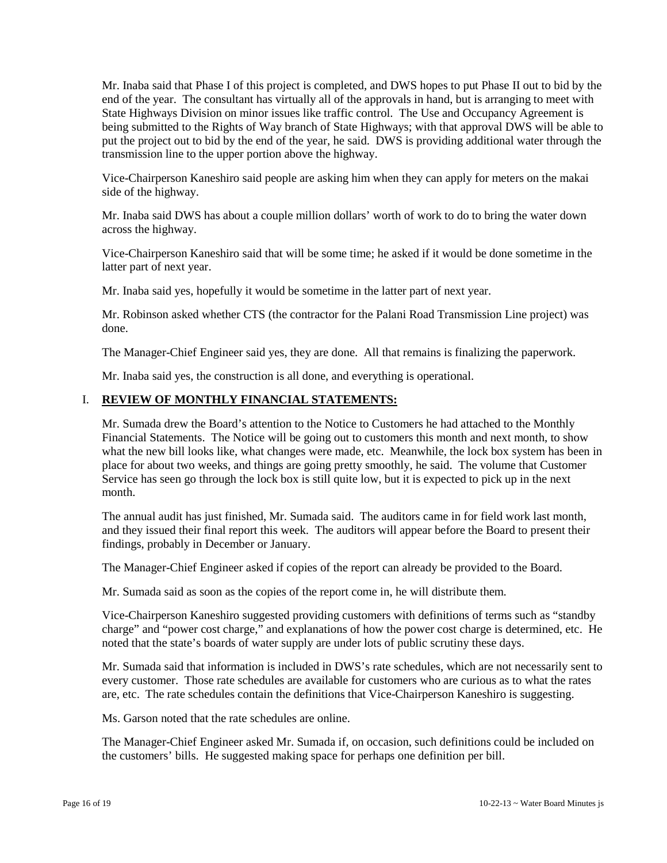Mr. Inaba said that Phase I of this project is completed, and DWS hopes to put Phase II out to bid by the end of the year. The consultant has virtually all of the approvals in hand, but is arranging to meet with State Highways Division on minor issues like traffic control. The Use and Occupancy Agreement is being submitted to the Rights of Way branch of State Highways; with that approval DWS will be able to put the project out to bid by the end of the year, he said. DWS is providing additional water through the transmission line to the upper portion above the highway.

Vice-Chairperson Kaneshiro said people are asking him when they can apply for meters on the makai side of the highway.

Mr. Inaba said DWS has about a couple million dollars' worth of work to do to bring the water down across the highway.

Vice-Chairperson Kaneshiro said that will be some time; he asked if it would be done sometime in the latter part of next year.

Mr. Inaba said yes, hopefully it would be sometime in the latter part of next year.

Mr. Robinson asked whether CTS (the contractor for the Palani Road Transmission Line project) was done.

The Manager-Chief Engineer said yes, they are done. All that remains is finalizing the paperwork.

Mr. Inaba said yes, the construction is all done, and everything is operational.

### I. **REVIEW OF MONTHLY FINANCIAL STATEMENTS:**

Mr. Sumada drew the Board's attention to the Notice to Customers he had attached to the Monthly Financial Statements. The Notice will be going out to customers this month and next month, to show what the new bill looks like, what changes were made, etc. Meanwhile, the lock box system has been in place for about two weeks, and things are going pretty smoothly, he said. The volume that Customer Service has seen go through the lock box is still quite low, but it is expected to pick up in the next month.

The annual audit has just finished, Mr. Sumada said. The auditors came in for field work last month, and they issued their final report this week. The auditors will appear before the Board to present their findings, probably in December or January.

The Manager-Chief Engineer asked if copies of the report can already be provided to the Board.

Mr. Sumada said as soon as the copies of the report come in, he will distribute them.

Vice-Chairperson Kaneshiro suggested providing customers with definitions of terms such as "standby charge" and "power cost charge," and explanations of how the power cost charge is determined, etc. He noted that the state's boards of water supply are under lots of public scrutiny these days.

Mr. Sumada said that information is included in DWS's rate schedules, which are not necessarily sent to every customer. Those rate schedules are available for customers who are curious as to what the rates are, etc. The rate schedules contain the definitions that Vice-Chairperson Kaneshiro is suggesting.

Ms. Garson noted that the rate schedules are online.

The Manager-Chief Engineer asked Mr. Sumada if, on occasion, such definitions could be included on the customers' bills. He suggested making space for perhaps one definition per bill.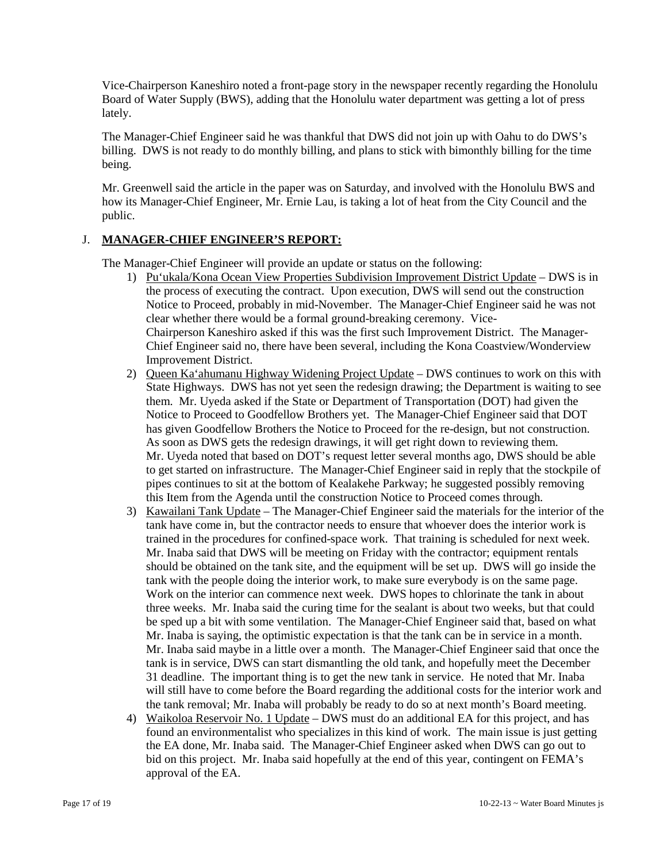Vice-Chairperson Kaneshiro noted a front-page story in the newspaper recently regarding the Honolulu Board of Water Supply (BWS), adding that the Honolulu water department was getting a lot of press lately.

The Manager-Chief Engineer said he was thankful that DWS did not join up with Oahu to do DWS's billing. DWS is not ready to do monthly billing, and plans to stick with bimonthly billing for the time being.

Mr. Greenwell said the article in the paper was on Saturday, and involved with the Honolulu BWS and how its Manager-Chief Engineer, Mr. Ernie Lau, is taking a lot of heat from the City Council and the public.

# J. **MANAGER-CHIEF ENGINEER'S REPORT:**

The Manager-Chief Engineer will provide an update or status on the following:

- 1) Pu'ukala/Kona Ocean View Properties Subdivision Improvement District Update DWS is in the process of executing the contract. Upon execution, DWS will send out the construction Notice to Proceed, probably in mid-November. The Manager-Chief Engineer said he was not clear whether there would be a formal ground-breaking ceremony. Vice-Chairperson Kaneshiro asked if this was the first such Improvement District. The Manager-Chief Engineer said no, there have been several, including the Kona Coastview/Wonderview Improvement District.
- 2) Queen Ka'ahumanu Highway Widening Project Update DWS continues to work on this with State Highways. DWS has not yet seen the redesign drawing; the Department is waiting to see them. Mr. Uyeda asked if the State or Department of Transportation (DOT) had given the Notice to Proceed to Goodfellow Brothers yet. The Manager-Chief Engineer said that DOT has given Goodfellow Brothers the Notice to Proceed for the re-design, but not construction. As soon as DWS gets the redesign drawings, it will get right down to reviewing them. Mr. Uyeda noted that based on DOT's request letter several months ago, DWS should be able to get started on infrastructure. The Manager-Chief Engineer said in reply that the stockpile of pipes continues to sit at the bottom of Kealakehe Parkway; he suggested possibly removing this Item from the Agenda until the construction Notice to Proceed comes through.
- 3) Kawailani Tank Update The Manager-Chief Engineer said the materials for the interior of the tank have come in, but the contractor needs to ensure that whoever does the interior work is trained in the procedures for confined-space work. That training is scheduled for next week. Mr. Inaba said that DWS will be meeting on Friday with the contractor; equipment rentals should be obtained on the tank site, and the equipment will be set up. DWS will go inside the tank with the people doing the interior work, to make sure everybody is on the same page. Work on the interior can commence next week. DWS hopes to chlorinate the tank in about three weeks. Mr. Inaba said the curing time for the sealant is about two weeks, but that could be sped up a bit with some ventilation. The Manager-Chief Engineer said that, based on what Mr. Inaba is saying, the optimistic expectation is that the tank can be in service in a month. Mr. Inaba said maybe in a little over a month. The Manager-Chief Engineer said that once the tank is in service, DWS can start dismantling the old tank, and hopefully meet the December 31 deadline. The important thing is to get the new tank in service. He noted that Mr. Inaba will still have to come before the Board regarding the additional costs for the interior work and the tank removal; Mr. Inaba will probably be ready to do so at next month's Board meeting.
- 4) Waikoloa Reservoir No. 1 Update DWS must do an additional EA for this project, and has found an environmentalist who specializes in this kind of work. The main issue is just getting the EA done, Mr. Inaba said. The Manager-Chief Engineer asked when DWS can go out to bid on this project. Mr. Inaba said hopefully at the end of this year, contingent on FEMA's approval of the EA.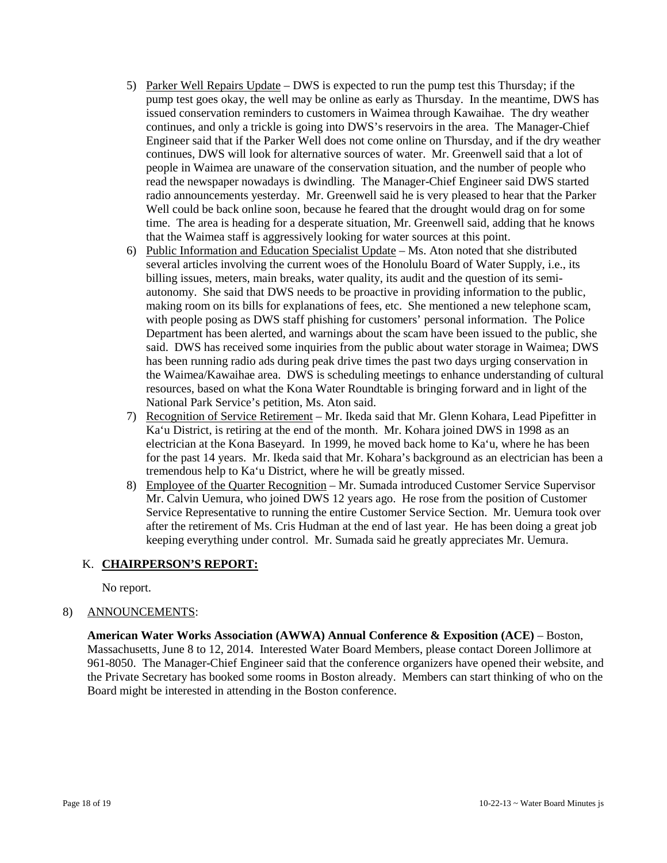- 5) Parker Well Repairs Update DWS is expected to run the pump test this Thursday; if the pump test goes okay, the well may be online as early as Thursday. In the meantime, DWS has issued conservation reminders to customers in Waimea through Kawaihae. The dry weather continues, and only a trickle is going into DWS's reservoirs in the area. The Manager-Chief Engineer said that if the Parker Well does not come online on Thursday, and if the dry weather continues, DWS will look for alternative sources of water. Mr. Greenwell said that a lot of people in Waimea are unaware of the conservation situation, and the number of people who read the newspaper nowadays is dwindling. The Manager-Chief Engineer said DWS started radio announcements yesterday. Mr. Greenwell said he is very pleased to hear that the Parker Well could be back online soon, because he feared that the drought would drag on for some time. The area is heading for a desperate situation, Mr. Greenwell said, adding that he knows that the Waimea staff is aggressively looking for water sources at this point.
- 6) Public Information and Education Specialist Update Ms. Aton noted that she distributed several articles involving the current woes of the Honolulu Board of Water Supply, i.e., its billing issues, meters, main breaks, water quality, its audit and the question of its semiautonomy. She said that DWS needs to be proactive in providing information to the public, making room on its bills for explanations of fees, etc. She mentioned a new telephone scam, with people posing as DWS staff phishing for customers' personal information. The Police Department has been alerted, and warnings about the scam have been issued to the public, she said. DWS has received some inquiries from the public about water storage in Waimea; DWS has been running radio ads during peak drive times the past two days urging conservation in the Waimea/Kawaihae area. DWS is scheduling meetings to enhance understanding of cultural resources, based on what the Kona Water Roundtable is bringing forward and in light of the National Park Service's petition, Ms. Aton said.
- 7) Recognition of Service Retirement Mr. Ikeda said that Mr. Glenn Kohara, Lead Pipefitter in Ka'u District, is retiring at the end of the month. Mr. Kohara joined DWS in 1998 as an electrician at the Kona Baseyard. In 1999, he moved back home to Ka'u, where he has been for the past 14 years. Mr. Ikeda said that Mr. Kohara's background as an electrician has been a tremendous help to Ka'u District, where he will be greatly missed.
- 8) Employee of the Quarter Recognition Mr. Sumada introduced Customer Service Supervisor Mr. Calvin Uemura, who joined DWS 12 years ago. He rose from the position of Customer Service Representative to running the entire Customer Service Section. Mr. Uemura took over after the retirement of Ms. Cris Hudman at the end of last year. He has been doing a great job keeping everything under control. Mr. Sumada said he greatly appreciates Mr. Uemura.

### K. **CHAIRPERSON'S REPORT:**

No report.

# 8) ANNOUNCEMENTS:

**American Water Works Association (AWWA) Annual Conference & Exposition (ACE)** – Boston, Massachusetts, June 8 to 12, 2014. Interested Water Board Members, please contact Doreen Jollimore at 961-8050. The Manager-Chief Engineer said that the conference organizers have opened their website, and the Private Secretary has booked some rooms in Boston already. Members can start thinking of who on the Board might be interested in attending in the Boston conference.